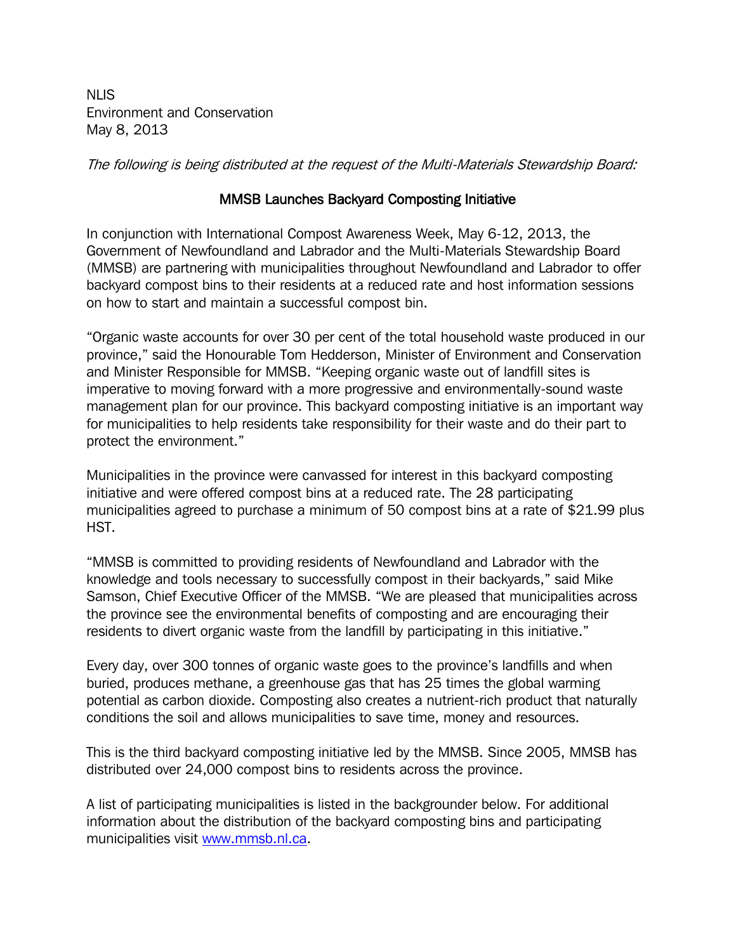NLIS Environment and Conservation May 8, 2013

The following is being distributed at the request of the Multi-Materials Stewardship Board:

## MMSB Launches Backyard Composting Initiative

In conjunction with International Compost Awareness Week, May 6-12, 2013, the Government of Newfoundland and Labrador and the Multi-Materials Stewardship Board (MMSB) are partnering with municipalities throughout Newfoundland and Labrador to offer backyard compost bins to their residents at a reduced rate and host information sessions on how to start and maintain a successful compost bin.

"Organic waste accounts for over 30 per cent of the total household waste produced in our province," said the Honourable Tom Hedderson, Minister of Environment and Conservation and Minister Responsible for MMSB. "Keeping organic waste out of landfill sites is imperative to moving forward with a more progressive and environmentally-sound waste management plan for our province. This backyard composting initiative is an important way for municipalities to help residents take responsibility for their waste and do their part to protect the environment."

Municipalities in the province were canvassed for interest in this backyard composting initiative and were offered compost bins at a reduced rate. The 28 participating municipalities agreed to purchase a minimum of 50 compost bins at a rate of \$21.99 plus HST.

"MMSB is committed to providing residents of Newfoundland and Labrador with the knowledge and tools necessary to successfully compost in their backyards," said Mike Samson, Chief Executive Officer of the MMSB. "We are pleased that municipalities across the province see the environmental benefits of composting and are encouraging their residents to divert organic waste from the landfill by participating in this initiative."

Every day, over 300 tonnes of organic waste goes to the province's landfills and when buried, produces methane, a greenhouse gas that has 25 times the global warming potential as carbon dioxide. Composting also creates a nutrient-rich product that naturally conditions the soil and allows municipalities to save time, money and resources.

This is the third backyard composting initiative led by the MMSB. Since 2005, MMSB has distributed over 24,000 compost bins to residents across the province.

A list of participating municipalities is listed in the backgrounder below. For additional information about the distribution of the backyard composting bins and participating municipalities visit [www.mmsb.nl.ca.](http://www.mmsb.nl.ca/)